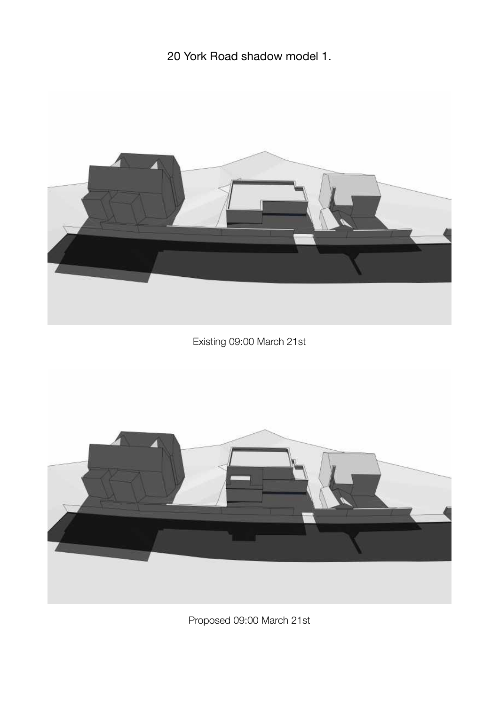20 York Road shadow model 1.



Existing 09:00 March 21st



Proposed 09:00 March 21st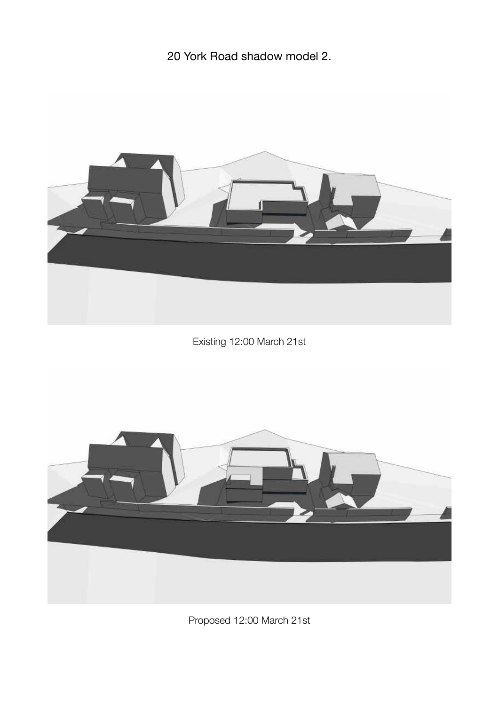## 20 York Road shadow model 2.



Existing 12:00 March 21st



Proposed 12:00 March 21st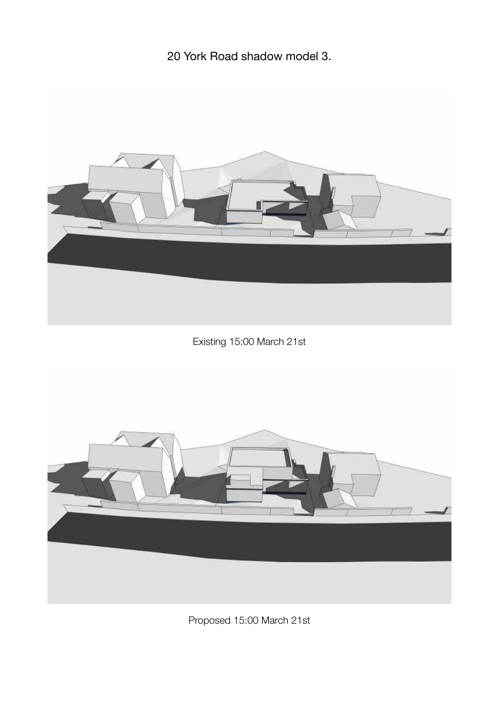20 York Road shadow model 3.



Existing 15:00 March 21st



Proposed 15:00 March 21st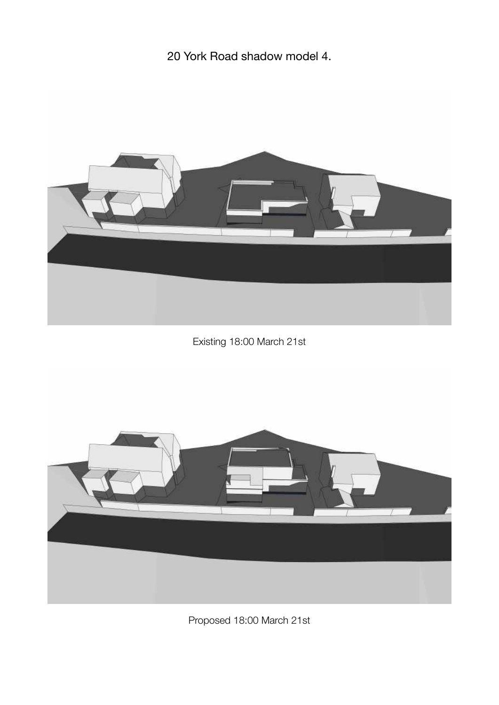20 York Road shadow model 4.



Existing 18:00 March 21st



Proposed 18:00 March 21st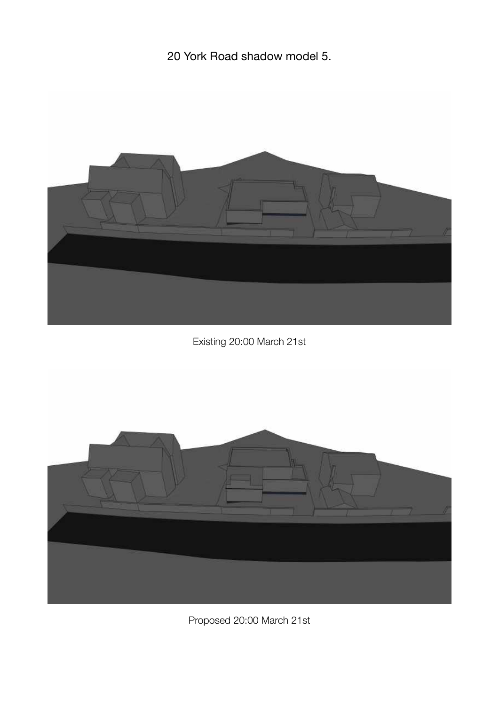20 York Road shadow model 5.



Existing 20:00 March 21st



Proposed 20:00 March 21st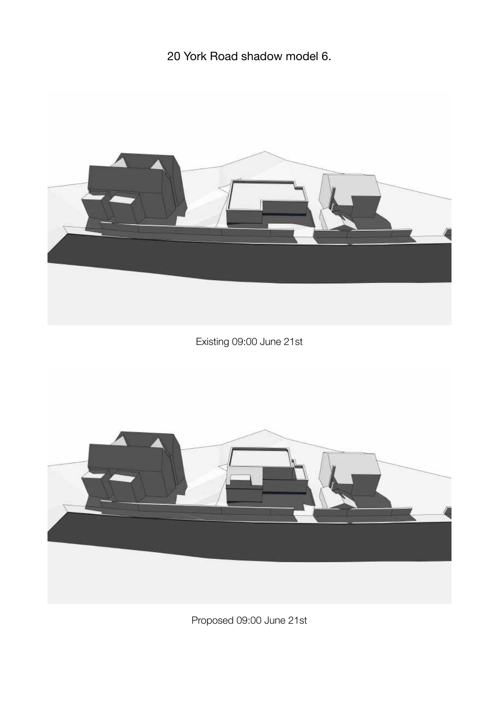20 York Road shadow model 6.



Existing 09:00 June 21st



Proposed 09:00 June 21st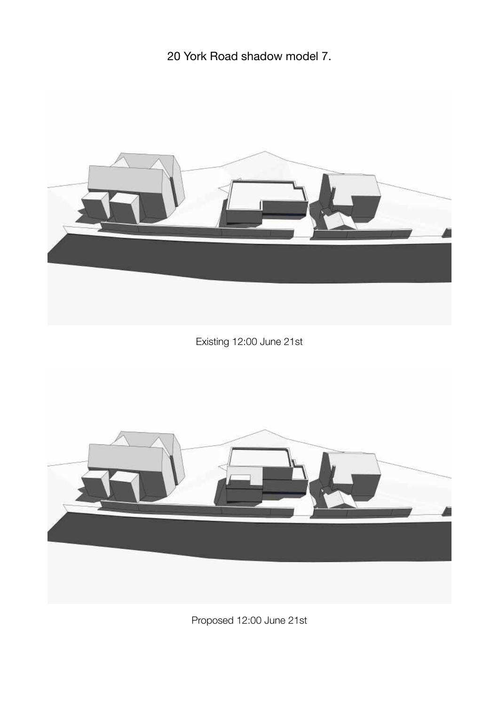20 York Road shadow model 7.



Proposed 12:00 June 21st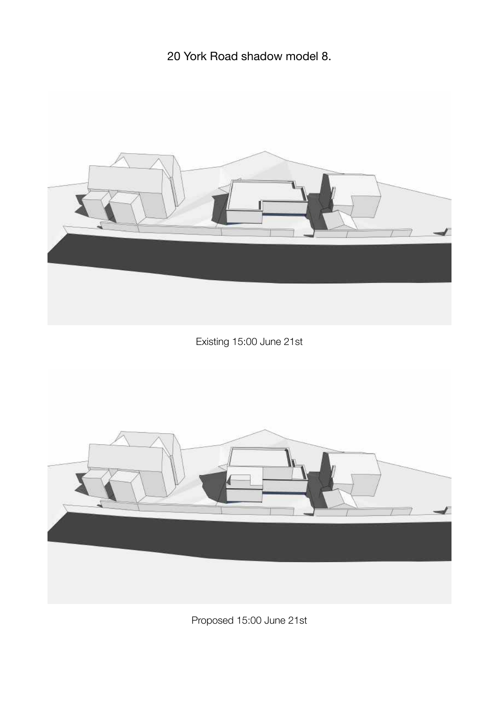20 York Road shadow model 8.



Proposed 15:00 June 21st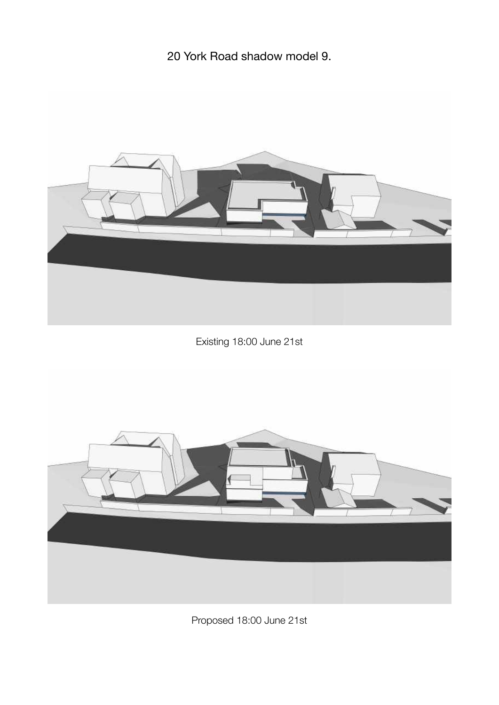20 York Road shadow model 9.



Existing 18:00 June 21st



Proposed 18:00 June 21st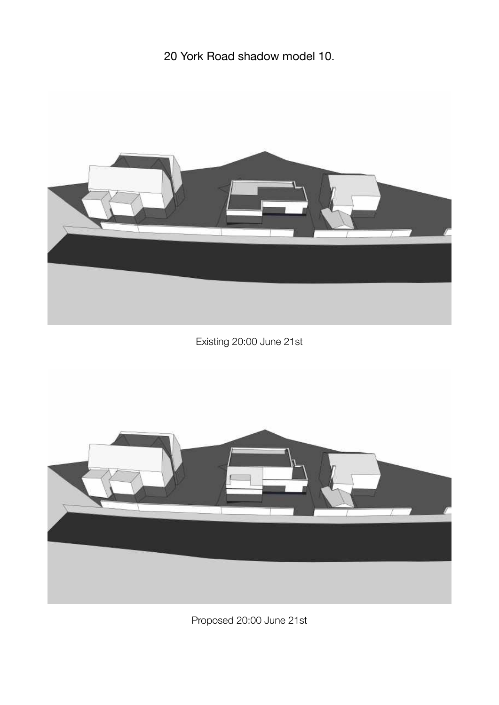20 York Road shadow model 10.



Existing 20:00 June 21st

![](_page_9_Picture_3.jpeg)

Proposed 20:00 June 21st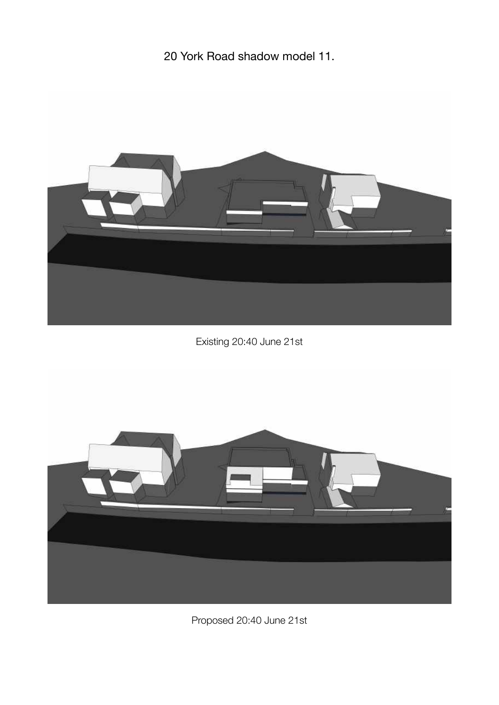20 York Road shadow model 11.

![](_page_10_Picture_1.jpeg)

Existing 20:40 June 21st

![](_page_10_Picture_3.jpeg)

Proposed 20:40 June 21st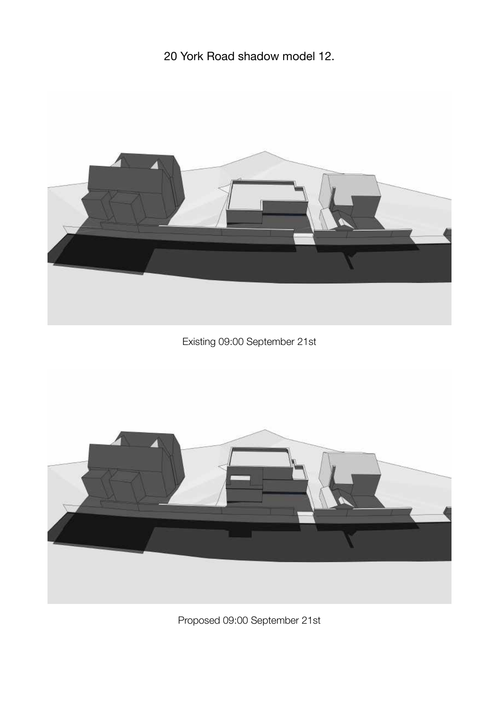20 York Road shadow model 12.

![](_page_11_Picture_1.jpeg)

Existing 09:00 September 21st

![](_page_11_Picture_3.jpeg)

Proposed 09:00 September 21st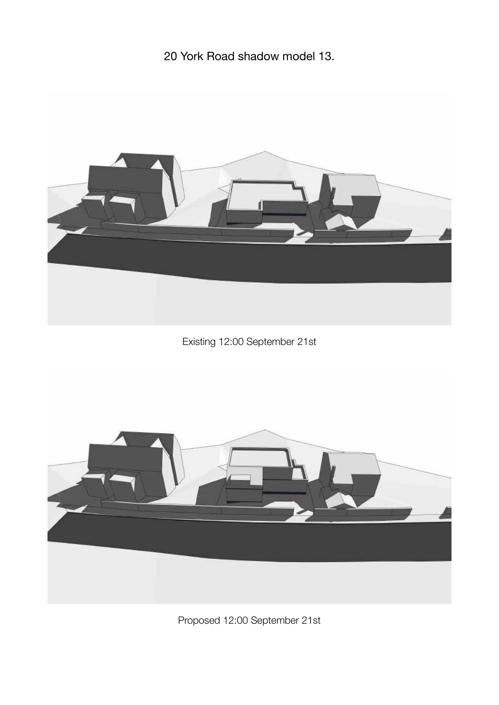20 York Road shadow model 13.

![](_page_12_Picture_1.jpeg)

Existing 12:00 September 21st

![](_page_12_Picture_3.jpeg)

Proposed 12:00 September 21st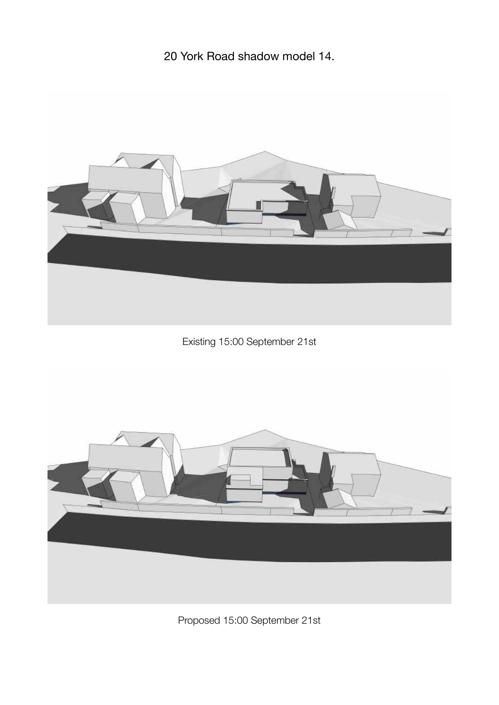20 York Road shadow model 14.

![](_page_13_Picture_1.jpeg)

Existing 15:00 September 21st

![](_page_13_Picture_3.jpeg)

Proposed 15:00 September 21st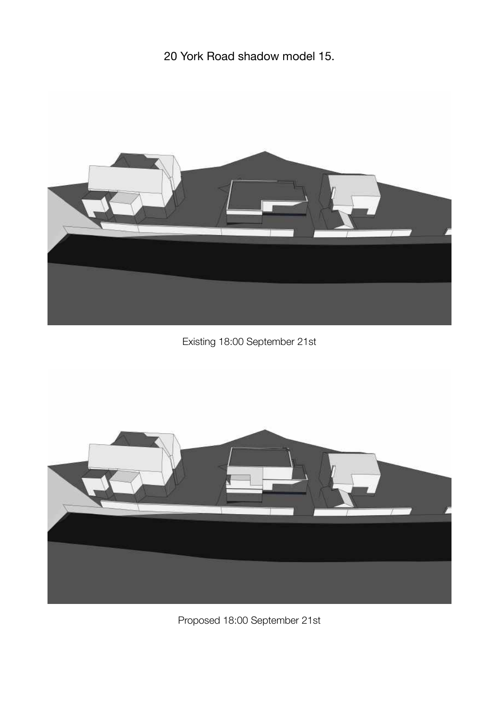20 York Road shadow model 15.

![](_page_14_Picture_1.jpeg)

Existing 18:00 September 21st

![](_page_14_Picture_3.jpeg)

Proposed 18:00 September 21st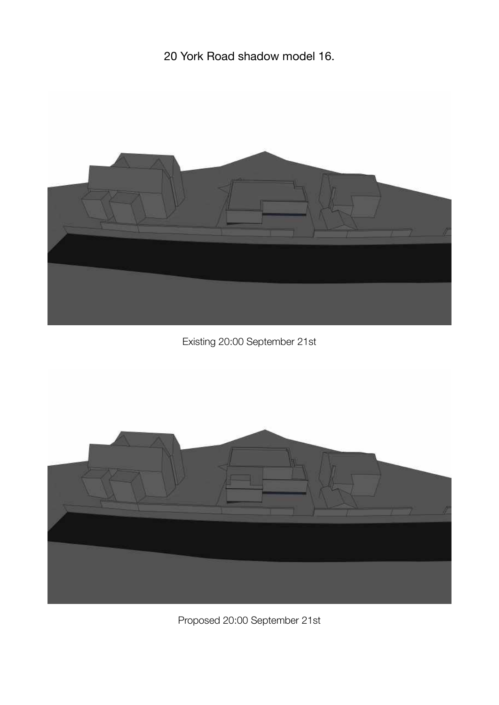20 York Road shadow model 16.

![](_page_15_Picture_1.jpeg)

Existing 20:00 September 21st

![](_page_15_Picture_3.jpeg)

Proposed 20:00 September 21st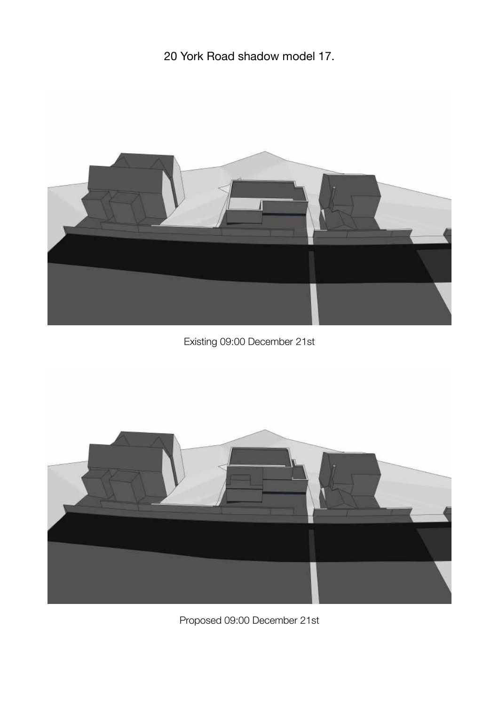20 York Road shadow model 17.

![](_page_16_Picture_1.jpeg)

Existing 09:00 December 21st

![](_page_16_Picture_3.jpeg)

Proposed 09:00 December 21st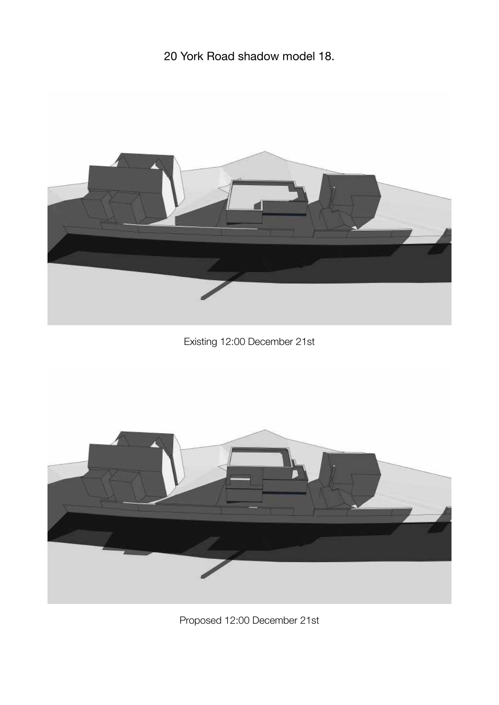## 20 York Road shadow model 18.

![](_page_17_Picture_1.jpeg)

Existing 12:00 December 21st

![](_page_17_Picture_3.jpeg)

Proposed 12:00 December 21st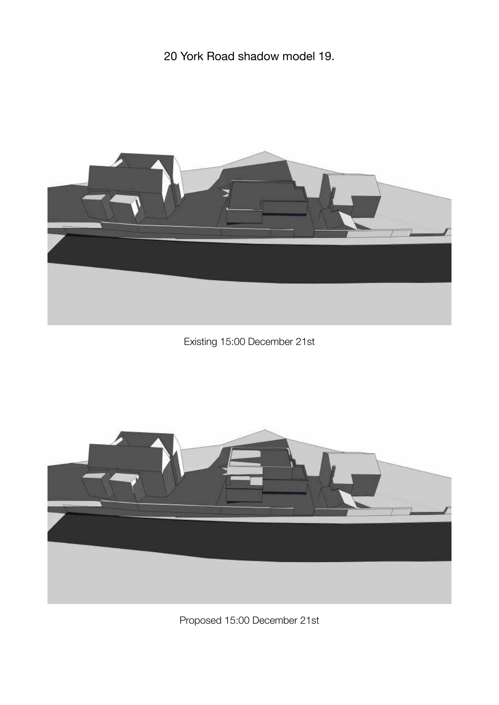20 York Road shadow model 19.

![](_page_18_Picture_1.jpeg)

Existing 15:00 December 21st

![](_page_18_Picture_3.jpeg)

Proposed 15:00 December 21st